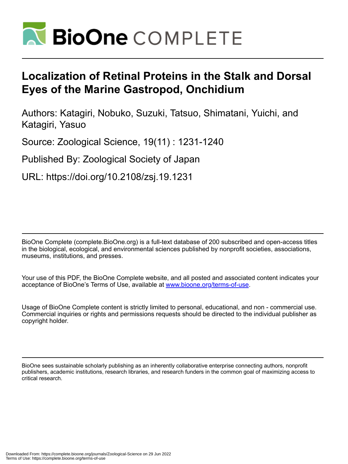

# **Localization of Retinal Proteins in the Stalk and Dorsal Eyes of the Marine Gastropod, Onchidium**

Authors: Katagiri, Nobuko, Suzuki, Tatsuo, Shimatani, Yuichi, and Katagiri, Yasuo

Source: Zoological Science, 19(11) : 1231-1240

Published By: Zoological Society of Japan

URL: https://doi.org/10.2108/zsj.19.1231

BioOne Complete (complete.BioOne.org) is a full-text database of 200 subscribed and open-access titles in the biological, ecological, and environmental sciences published by nonprofit societies, associations, museums, institutions, and presses.

Your use of this PDF, the BioOne Complete website, and all posted and associated content indicates your acceptance of BioOne's Terms of Use, available at www.bioone.org/terms-of-use.

Usage of BioOne Complete content is strictly limited to personal, educational, and non - commercial use. Commercial inquiries or rights and permissions requests should be directed to the individual publisher as copyright holder.

BioOne sees sustainable scholarly publishing as an inherently collaborative enterprise connecting authors, nonprofit publishers, academic institutions, research libraries, and research funders in the common goal of maximizing access to critical research.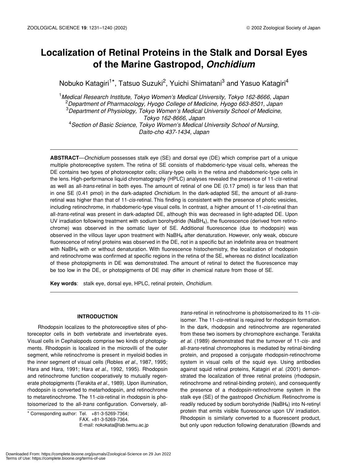# **Localization of Retinal Proteins in the Stalk and Dorsal Eyes of the Marine Gastropod,** *Onchidium*

Nobuko Katagiri<sup>1\*</sup>, Tatsuo Suzuki<sup>2</sup>, Yuichi Shimatani<sup>3</sup> and Yasuo Katagiri<sup>4</sup>

 *Medical Research Institute, Tokyo Women's Medical University, Tokyo 162-8666, Japan Department of Pharmacology, Hyogo College of Medicine, Hyogo 663-8501, Japan Department of Physiology, Tokyo Women's Medical University School of Medicine, Tokyo 162-8666, Japan Section of Basic Science, Tokyo Women's Medical University School of Nursing, Daito-cho 437-1434, Japan*

**ABSTRACT**—*Onchidium* possesses stalk eye (SE) and dorsal eye (DE) which comprise part of a unique multiple photoreceptive system. The retina of SE consists of rhabdomeric-type visual cells, whereas the DE contains two types of photoreceptor cells; ciliary-type cells in the retina and rhabdomeric-type cells in the lens. High-performance liquid chromatography (HPLC) analyses revealed the presence of 11-*cis-*retinal as well as all-*trans-*retinal in both eyes. The amount of retinal of one DE (0.17 pmol) is far less than that in one SE (0.41 pmol) in the dark-adapted *Onchidium*. In the dark-adapted SE, the amount of all-*trans*retinal was higher than that of 11-*cis*-retinal. This finding is consistent with the presence of photic vesicles, including retinochrome, in rhabdomeric-type visual cells. In contrast, a higher amount of 11-*cis*-retinal than all*-trans-*retinal was present in dark-adapted DE, although this was decreased in light-adapted DE. Upon UV irradiation following treatment with sodium borohydride (NaBH<sub>4</sub>), the fluorescence (derived from retinochrome) was observed in the somatic layer of SE. Additional fluorescence (due to rhodopsin) was observed in the villous layer upon treatment with NaBH4 after denaturation. However, only weak, obscure fluorescence of retinyl proteins was observed in the DE, not in a specific but an indefinite area on treatment with NaBH4 with or without denaturation. With fluorescence histochemistry, the localization of rhodopsin and retinochrome was confirmed at specific regions in the retina of the SE, whereas no distinct localization of these photopigments in DE was demonstrated. The amount of retinal to detect the fluorescence may be too low in the DE, or photopigments of DE may differ in chemical nature from those of SE.

**Key words**: stalk eye, dorsal eye, HPLC, retinal protein, *Onchidium.*

#### **INTRODUCTION**

Rhodopsin localizes to the photoreceptive sites of photoreceptor cells in both vertebrate and invertebrate eyes. Visual cells in Cephalopods comprise two kinds of photopigments. Rhodopsin is localized in the microvilli of the outer segment, while retinochrome is present in myeloid bodies in the inner segment of visual cells (Robles *et al.*, 1987, 1995; Hara and Hara, 1991; Hara *et al*., 1992, 1995). Rhodopsin and retinochrome function cooperatively to mutually regenerate photopigments (Terakita *et al.*, 1989). Upon illumination, rhodopsin is converted to metarhodopsin, and retinochrome to metaretinochrome. The 11-*cis*-retinal in rhodopsin is photoisomerized to the all-*trans* configuration. Conversely, all-

 $*$  Corresponding author: Tel.  $+81-3-5269-7364$ ; FAX. +81-3-5269-7364.

E-mail: nokokata@lab.twmu.ac.jp

*trans*-retinal in retinochrome is photoisomerized to its 11-*cis*isomer. The 11-*cis*-retinal is required for rhodopsin formation. In the dark, rhodopsin and retinochrome are regenerated from these two isomers by chromophore exchange. Terakita *et al*. (1989) demonstrated that the turnover of 11-*cis-* and all-*trans*-retinal chromophores is mediated by retinal-binding protein, and proposed a conjugate rhodopsin-retinochrome system in visual cells of the squid eye. Using antibodies against squid retinal proteins, Katagiri *et al*. (2001) demonstrated the localization of three retinal proteins (rhodopsin, retinochrome and retinal-binding protein), and consequently the presence of a rhodopsin-retinochrome system in the stalk eye (SE) of the gastropod *Onchidium*. Retinochrome is readily reduced by sodium borohydride (NaBH4) into N-retinyl protein that emits visible fluorescence upon UV irradiation. Rhodopsin is similarly converted to a fluorescent product, but only upon reduction following denaturation (Bownds and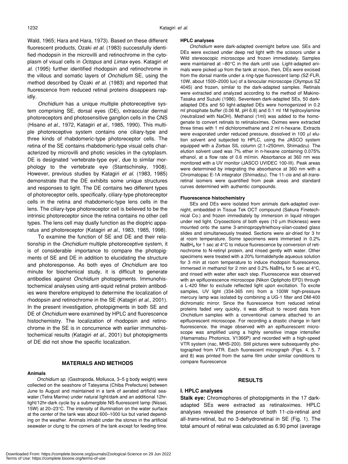Wald, 1965; Hara and Hara, 1973). Based on these different fluorescent products, Ozaki *et al*. (1983) successfully identified rhodopsin in the microvilli and retinochrome in the cytoplasm of visual cells in *Octopus* and *Limax* eyes. Katagiri *et al.* (1995) further identified rhodopsin and retinochrome in the villous and somatic layers of *Onchidium* SE, using the method described by Ozaki *et al*. (1983) and reported that fluorescence from reduced retinal proteins disappears rapidly.

*Onchidium* has a unique multiple photoreceptive system comprising SE, dorsal eyes (DE), extraocular dermal photoreceptors and photosensitive ganglion cells in the CNS (Hisano *et al*., 1972, Katagiri *et al.*, 1985, 1990). This multiple photoreceptive system contains one ciliary-type and three kinds of rhabdomeric-type photoreceptor cells. The retina of the SE contains rhabdomeric-type visual cells characterized by microvilli and photic vesicles in the cytoplasm. DE is designated 'vertebrate-type eye', due to similar morphology to the vertebrate eye (Stantschinsky, 1908). However, previous studies by Katagiri *et al*. (1983, 1985) demonstrate that the DE exhibits some unique structures and responses to light. The DE contains two different types of photoreceptor cells, specifically, ciliary-type photoreceptor cells in the retina and rhabdomeric-type lens cells in the lens. The ciliary-type photoreceptor cell is believed to be the intrinsic photoreceptor since the retina contains no other cell types. The lens cell may dually function as the dioptric apparatus and photoreceptor (Katagiri *et al*., 1983, 1985, 1998).

To examine the function of SE and DE and their relationship in the *Onchidium* multiple photoreceptive system, it is of considerable importance to compare the photopigments of SE and DE in addition to elucidating the structure and photoresponse. As both eyes of *Onchidium* are too minute for biochemical study, it is difficult to generate antibodies against *Onchidium* photopigments. Immunohistochemical analyses using anti-squid retinal protein antibodies were therefore employed to determine the localization of rhodopsin and retinochrome in the SE (Katagiri *et al*., 2001). In the present investigation, photopigments in both SE and DE of *Onchidium* were examined by HPLC and fluorescence histochemistry. The localization of rhodopsin and retinochrome in the SE is in concurrence with earlier immunohistochemical results (Katagiri *et al*., 2001) but photopigments of DE did not show the specific localization.

#### **MATERIALS AND METHODS**

#### **Animals**

*Onchidium sp*. (Gastropoda, Mollusca, 3–5 g body weight) were collected on the seashore of Tateyama (Chiba Prefecture) between June to August and maintained in a tank of aerated artificial seawater (Tetra Marine) under natural light/dark and an additional 12hrlight/12hr-dark cycle by a submergible NS-fluorescent lamp (Nissei, 15W) at 20–23°C. The intensity of illumination on the water surface at the center of the tank was about 600–1000 lux but varied depending on the weather. Animals inhabit under the stones in the artificial seawater or clung to the corners of the tank except for feeding time.

#### **HPLC analyses**

*Onchidium* were dark-adapted overnight before use. SEs and DEs were excised under deep red light with the scissors under a Wild stereoscopic microscope and frozen immediately. Samples were maintained at –80°C in the dark until use. Light-adapted animals were picked up from the tank at noon, then, DEs were excised from the dorsal mantle under a ring-type fluorescent lamp (SZ-FLR, 10W, about 1500–2000 lux) of a binocular microscope (Olympus SZ 4045) and frozen, similar to the dark-adapted samples. Retinals were extracted and analyzed according to the method of Makino-Tasaka and Suzuki (1986). Seventeen dark-adapted SEs, 50 darkadapted DEs and 50 light-adapted DEs were homogenized in 0.2 ml phosphate buffer (0.06 M, pH 6.8) and 0.1 ml 1M hydroxylamine (neutralized with NaOH). Methanol (1ml) was added to the homogenate to convert retinals to retinaloximes. Oximes were extracted three times with 1 ml dichloromethane and 2 ml n-hexane. Extracts were evaporated under reduced pressure, dissolved in 100 µl elution solvent and subjected to HPLC, using the JASCO system equipped with a Zorbax SIL column (2.1×250mm, Shimadzu). The elution solvent used was 7% ether in n-hexane containing 0.075% ethanol, at a flow rate of 0.6 ml/min. Absorbance at 360 nm was monitored with a UV monitor (JASCO UVIDEC 100-III). Peak areas were determined by integrating the absorbance at 360 nm with a Chromatopac E-1A integrator (Shimadzu). The 11-*cis* and all-*trans*retinal isomers were quantified from peak areas and standard curves determined with authentic compounds.

#### **Fluorescence histochemistry**

SEs and DEs were isolated from animals dark-adapted overnight, embedded in Tissue Tek OCT compound (Sakura Finetechnical Co.) and frozen immediately by immersion in liquid nitrogen under red light. Cryosections of both eyes (10 µm thickness) were mounted onto the same 3-aminopropyltriethoxy-silan-coated glass slides and simultaneously treated. Sections were air-dried for 3 hr at room temperature. Some specimens were immersed in 0.2% NaBH<sub>4</sub> for 1 sec at 4°C to induce fluorescence by conversion of retinochrome to N-retinyl protein, and rinsed gently with water. Other specimens were treated with a 20% formaldehyde aqueous solution for 3 min at room temperature to induce rhodopsin fluorescence, immersed in methanol for 2 min and 0.2% NaBH4 for 5 sec at 4°C, and rinsed with water after each step. Fluorescence was observed with an epifluorescence microscope (Nikon Optiphoto EFD) through a L-420 filter to exclude reflected light upon excitation. To excite samples, UV light (334-365 nm) from a 100W high-pressure mercury lamp was isolated by combining a UG-1 filter and DM-400 dichromatic mirror. Since the fluorescence from reduced retinal proteins faded very quickly, it was difficult to record data from *Onchidium* samples with a conventional camera attached to an epifluorescent microscope. For recording a drastic change in faint fluorescence, the image observed with an epifluorescent microscope was amplified using a highly sensitive image intensifier (Hamamatsu Photonics, V1366P) and recorded with a high-speed VTR system (nac, MHS-200). Still pictures were subsequently photographed from VTR. Each fluorescent micrograph (Figs. 4, 5, 7 and 8) was printed from the same film under similar conditions to compare fluorescence

#### **RESULTS**

# **I. HPLC analyses**

**Stalk eye:** Chromophores of photopigments in the 17 darkadapted SEs were extracted as retinaloximes. HPLC analyses revealed the presence of both 11-*cis*-retinal and all-*trans*-retinal, but no 3-dehydroretinal in SE (Fig. 1). The total amount of retinal was calculated as 6.90 pmol (average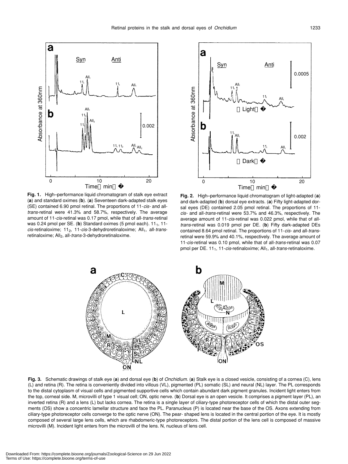

**Fig. 1***.* High–performance liquid chromatogram of stalk eye extract (**a**) and standard oximes (**b**). (**a**) Seventeen dark-adapted stalk eyes (SE) contained 6.90 pmol retinal. The proportions of 11-*cis-* and all*trans*-retinal were 41.3% and 58.7%, respectively. The average amount of 11-*cis*-retinal was 0.17 pmol, while that of all-*trans-*retinal was 0.24 pmol per SE. (b) Standard oximes (5 pmol each). 11<sub>1</sub>, 11*cis-retinaloxime;* 11<sub>2</sub>, 11-*cis-3-dehydroretinaloxime; All<sub>1</sub>, all-trans*retinaloxime; All<sub>2</sub>, all-*trans*-3-dehydroretinaloxime.



**Fig. 2.** High–performance liquid chromatogram of light-adapted (**a**) and dark-adapted (**b**) dorsal eye extracts. (**a**) Fifty light-adapted dorsal eyes (DE) contained 2.05 pmol retinal. The proportions of 11 *cis-* and all-*trans*-retinal were 53.7% and 46.3%, respectively. The average amount of 11-*cis*-retinal was 0.022 pmol, while that of all*trans*-retinal was 0.019 pmol per DE. (**b**) Fifty dark-adapted DEs contained 8.64 pmol retinal. The proportions of 11-*cis-* and all-*trans*retinal were 59.9% and 40.1%, respectively. The average amount of 11-*cis*-retinal was 0.10 pmol, while that of all-*trans*-retinal was 0.07 pmol per DE. 11<sub>1</sub>, 11-*cis*-retinaloxime; All<sub>1</sub>, all-*trans*-retinaloxime.



**Fig. 3.** Schematic drawings of stalk eye (**a**) and dorsal eye (**b**) of *Onchidium*. (**a**) Stalk eye is a closed vesicle, consisting of a cornea (C), lens (L) and retina (R). The retina is conveniently divided into villous (VL), pigmented (PL) somatic (SL) and neural (NL) layer. The PL corresponds to the distal cytoplasm of visual cells and pigmented supportive cells which contain abundant dark pigment granules. Incident light enters from the top, corneal side. M, microvilli of type 1 visual cell; ON, optic nerve. (**b**) Dorsal eye is an open vesicle. It comprises a pigment layer (PL), an inverted retina (R) and a lens (L) but lacks cornea. The retina is a single layer of ciliary-type photoreceptor cells of which the distal outer segments (OS) show a concentric lamellar structure and face the PL. Paranucleus (P) is located near the base of the OS. Axons extending from ciliary-type photoreceptor cells converge to the optic nerve (ON). The pear- shaped lens is located in the central portion of the eye. It is mostly composed of several large lens cells, which are rhabdomeric-type photoreceptors. The distal portion of the lens cell is composed of massive microvilli (M). Incident light enters from the microvilli of the lens. N, nucleus of lens cell.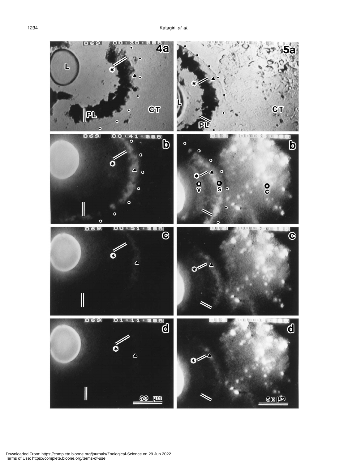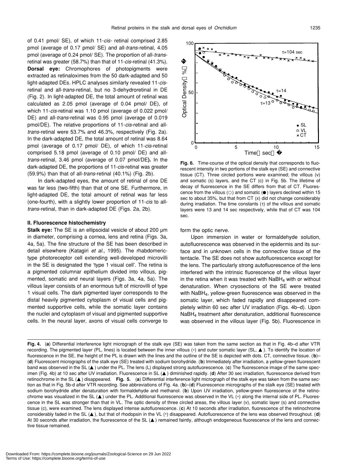of 0.41 pmol/ SE), of which 11-*cis-* retinal comprised 2.85 pmol (average of 0.17 pmol/ SE) and all-*trans*-retinal, 4.05 pmol (average of 0.24 pmol/ SE). The proportion of all-*trans*retinal was greater (58.7%) than that of 11-*cis*-retinal (41.3%). **Dorsal eye:** Chromophores of photopigments were extracted as retinaloximes from the 50 dark-adapted and 50 light-adapted DEs. HPLC analyses similarly revealed 11-*cis*retinal and all-*trans*-retinal, but no 3-dehydroretinal in DE (Fig. 2). In light-adapted DE, the total amount of retinal was calculated as 2.05 pmol (average of 0.04 pmol/ DE), of which 11-*cis-*retinal was 1.10 pmol (average of 0.022 pmol/ DE) and all-*trans*-retinal was 0.95 pmol (average of 0.019 pmol/DE). The relative proportions of 11-*cis*-retinal and all*trans*-retinal were 53.7% and 46.3%, respectively (Fig. 2a). In the dark-adapted DE, the total amount of retinal was 8.64 pmol (average of 0.17 pmol/ DE), of which 11-*cis*-retinal comprised 5.18 pmol (average of 0.10 pmol/ DE) and all*trans*-retinal, 3.46 pmol (average of 0.07 pmol/DE**).** In the dark-adapted DE, the proportions of 11-*cis*-retinal was greater (59.9%) than that of all-*trans*-retinal (40.1%) (Fig. 2b).

In dark-adapted eyes, the amount of retinal of one DE was far less (two-fifth) than that of one SE. Furthermore, in light-adapted DE, the total amount of retinal was far less (one-fourth), with a slightly lower proportion of 11-*cis* to all*trans*-retinal, than in dark-adapted DE (Figs. 2a, 2b).

#### **II. Fluorescence histochemistry**

**Stalk eye:** The SE is an ellipsoidal vesicle of about 200 µm in diameter, comprising a cornea, lens and retina (Figs. 3a, 4a, 5a). The fine structure of the SE has been described in detail elsewhere (Katagiri *et al.,* 1995). The rhabdomerictype photoreceptor cell extending well-developed microvilli in the SE is designated the 'type 1 visual cell'. The retina is a pigmented columnar epithelium divided into villous, pigmented, somatic and neural layers (Figs. 3a, 4a, 5a). The villous layer consists of an enormous tuft of microvilli of type 1 visual cells. The dark pigmented layer corresponds to the distal heavily pigmented cytoplasm of visual cells and pigmented supportive cells, while the somatic layer contains the nuclei and cytoplasm of visual and pigmented supportive cells. In the neural layer, axons of visual cells converge to



**Fig. 6.** Time-course of the optical density that corresponds to fluorescent intensity in two portions of the stalk eye (SE) and connective tissue (CT). Three circled portions were examined; the villous (v) and somatic (s) layers, and the CT (c) in Fig. 5b. The lifetime of decay of fluorescence in the SE differs from that of CT. Fluorescence from the villous ( ) and somatic ( ) layers declined within 15 sec to about 35%, but that from CT (x) did not change considerably during irradiation. The time constants (τ) of the villous and somatic layers were 13 and 14 sec respectively, while that of CT was 104 sec.

form the optic nerve.

Upon immersion in water or formaldehyde solution, autofluorescence was observed in the epidermis and its surface and in unknown cells in the connective tissue of the tentacle. The SE does not show autofluorescence except for the lens. The particularly strong autofluorescence of the lens interfered with the intrinsic fluorescence of the villous layer in the retina when it was treated with  $N$ aBH<sub>4</sub> with or without denaturation. When cryosections of the SE were treated with NaBH<sub>4</sub>, yellow-green fluorescence was observed in the somatic layer, which faded rapidly and disappeared completely within 60 sec after UV irradiation (Figs. 4b–d). Upon NaBH4 treatment after denaturation, additional fluorescence was observed in the villous layer (Fig. 5b). Fluorescence in

**Fig. 4.** (**a**) Differential interference light micrograph of the stalk eye (SE) was taken from the same section as that in Fig. 4b–d after VTR recording. The pigmented layer (PL, lines) is located between the inner villous (\*) and outer somatic layer (SL, ). To identify the location of fluorescence in the SE, the height of the PL is drawn with the lines and the outline of the SE is depicted with dots. CT, connective tissue. (**b**)– (**d**) Fluorescent micrographs of the stalk eye (SE) treated with sodium borohydride. (**b**) Immediately after irradiation, a yellow-green fluorescent band was observed in the SL ( ) under the PL. The lens (L) displayed strong autofluorescence. (**c**) The fluorescence image of the same specimen (Fig. 4b) at 10 sec after UV irradiation. Fluorescence in SL ( ) diminished rapidly. (**d**) After 30 sec irradiation, fluorescence derived from retinochrome in the SL ( ) disappeared. **Fig. 5.** (**a**) Differential interference light micrograph of the stalk eye was taken from the same section as that in Fig. 5b-d after VTR recording. See abbreviations of Fig. 4a. (**b**)–(**d**) Fluorescence micrographs of the stalk eye (SE) treated with sodium borohydride after denaturation with formaldehyde and methanol. (**b**) Upon UV irradiation, yellow-green fluorescence of the retinochrome was visualized in the SL ( ) under the PL. Additional fluorescence was observed in the VL (\*) along the internal side of PL. Fluorescence in the SL was stronger than that in VL. The optic density of three circled areas, the villous layer (v), somatic layer (s) and connective tissue (c), were examined. The lens displayed intense autofluorescence. (**c**) At 10 seconds after irradiation, fluorescence of the retinochrome considerably faded in the SL ( ), but that of rhodopsin in the VL (\*) disappeared. Autofluorescence of the lens was observed throughout. (**d**) At 30 seconds after irradiation, the fluorescence of the SL ( ) remained faintly, although endogeneous fluorescence of the lens and connective tissue remained.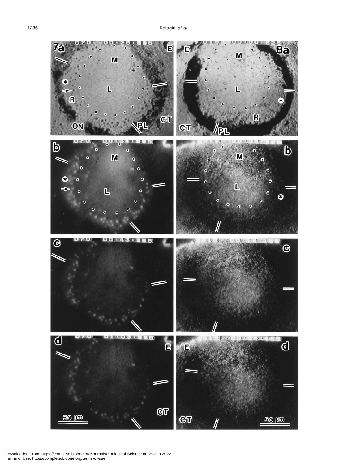

Downloaded From: https://complete.bioone.org/journals/Zoological-Science on 29 Jun 2022 Terms of Use: https://complete.bioone.org/terms-of-use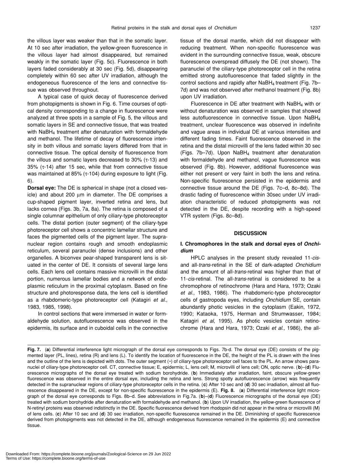the villous layer was weaker than that in the somatic layer. At 10 sec after irradiation, the yellow-green fluorescence in the villous layer had almost disappeared, but remained weakly in the somatic layer (Fig. 5c). Fluorescence in both layers faded considerably at 30 sec (Fig. 5d), disappearing completely within 60 sec after UV irradiation, although the endogeneous fluorescence of the lens and connective tissue was observed throughout.

A typical case of quick decay of fluorescence derived from photopigments is shown in Fig. 6. Time courses of optical density corresponding to a change in fluorescence were analyzed at three spots in a sample of Fig. 5, the villous and somatic layers in SE and connective tissue, that was treated with NaBH4 treatment after denaturation with formaldehyde and methanol. The lifetime of decay of fluorescence intensity in both villous and somatic layers differed from that in connective tissue. The optical density of fluorescence from the villous and somatic layers decreased to 30% (τ-13) and 35% (τ-14) after 15 sec, while that from connective tissue was maintained at 85% (τ-104) during exposure to light (Fig. 6).

**Dorsal eye:** The DE is spherical in shape (not a closed vesicle) and about 200 µm in diameter. The DE comprises a cup-shaped pigment layer, inverted retina and lens, but lacks cornea (Figs. 3b, 7a, 8a). The retina is composed of a single columnar epithelium of only ciliary-type photoreceptor cells. The distal portion (outer segment) of the ciliary-type photoreceptor cell shows a concentric lamellar structure and faces the pigmented cells of the pigment layer. The supranuclear region contains rough and smooth endoplasmic reticulum, several paranuclei (dense inclusions) and other organelles. A biconvex pear-shaped transparent lens is situated in the center of DE. It consists of several large lens cells. Each lens cell contains massive microvilli in the distal portion, numerous lamellar bodies and a network of endoplasmic reticulum in the proximal cytoplasm. Based on fine structure and photoresponse data, the lens cell is identified as a rhabdomeric-type photoreceptor cell (Katagiri *et al*., 1983, 1985, 1998).

In control sections that were immersed in water or formaldehyde solution, autofluorescence was observed in the epidermis, its surface and in cuboidal cells in the connective tissue of the dorsal mantle, which did not disappear with reducing treatment. When non-specific fluorescence was evident in the surrounding connective tissue, weak, obscure fluorescence overspread diffusely the DE (not shown). The paranuclei of the ciliary-type photoreceptor cell in the retina emitted strong autofluorescence that faded slightly in the control sections and rapidly after NaBH4 treatment (Fig. 7b– 7d) and was not observed after methanol treatment (Fig. 8b) upon UV irradiation.

Fluorescence in DE after treatment with NaBH4 with or without denaturation was observed in samples that showed less autofluorescence in connective tissue. Upon NaBH4 treatment, unclear fluorescence was observed in indefinite and vague areas in individual DE at various intensities and different fading times. Faint fluorescence observed in the retina and the distal microvilli of the lens faded within 30 sec (Figs. 7b–7d). Upon NaBH4 treatment after denaturation with formaldehyde and methanol, vague fluorescence was observed (Fig. 8b). However, additional fluorescence was either not present or very faint in both the lens and retina. Non-specific fluorescence persisted in the epidermis and connective tissue around the DE (Figs. 7c–d, 8c–8d). The drastic fading of fluorescence within 30sec under UV irradiation characteristic of reduced photopigments was not detected in the DE, despite recording with a high-speed VTR system (Figs. 8c–8d).

#### **DISCUSSION**

## **I. Chromophores in the stalk and dorsal eyes of** *Onchidium*

HPLC analyses in the present study revealed 11-*cis*and all-*trans*-retinal in the SE of dark-adapted *Onchidium* and the amount of all-*trans*-retinal was higher than that of 11-*cis*-retinal. The all-*trans*-retinal is considered to be a chromophore of retinochrome (Hara and Hara, 1973; Ozaki *et al*., 1983, 1986). The rhabdomeric-type photoreceptor cells of gastropoda eyes, including *Onchidium* SE, contain abundantly photic vesicles in the cytoplasm (Eakin, 1972, 1990; Kataoka, 1975, Herman and Strumwasser, 1984; Katagiri *et al*, 1995). As photic vesicles contain retinochrome (Hara and Hara, 1973; Ozaki *et al*., 1986), the all-

**Fig. 7.** (**a**) Differential interference light micrograph of the dorsal eye corresponds to Figs. 7b-d. The dorsal eye (DE) consists of the pigmented layer (PL, lines), retina (R) and lens (L). To identify the location of fluorescence in the DE, the height of the PL is drawn with the lines and the outline of the lens is depicted with dots. The outer segment (\*) of ciliary-type photoreceptor cell faces to the PL. An arrow shows paranuclei of ciliary-type photoreceptor cell. CT, connective tissue; E, epidermis; L, lens cell; M, microvilli of lens cell; ON, optic nerve. (**b**)–(**d**) Fluorescence micrographs of the dorsal eye treated with sodium borohydride. (**b**) Immediately after irradiation, faint, obscure yellow-green fluorescence was observed in the entire dorsal eye, including the retina and lens. Strong spotty autofluorescence (arrow) was frequently detected in the supranuclear regions of ciliary-type photoreceptor cells in the retina. (**c**) After 10 sec and (**d**) 30 sec irradiation, almost all fluorescence disappeared in the DE, except for non-specific fluorescence in the epidermis (E). **Fig. 8.** (**a**) Differential interference light micrograph of the dorsal eye corresponds to Figs. 8b–d. See abbreviations in Fig.7a. (**b**)–(**d**) Fluorescence micrographs of the dorsal eye (DE) treated with sodium borohydride after denaturation with formaldehyde and methanol. (**b**) Upon UV irradiation, the yellow-green fluorescence of N-retinyl proteins was observed indistinctly in the DE. Specific fluorescence derived from rhodopsin did not appear in the retina or microvilli (M) of lens cells. (**c**) After 10 sec and (**d**) 30 sec irradiation, non-specific fluorescence remained in the DE. Diminishing of specific fluorescence derived from photopigments was not detected in the DE, although endogeneous fluorescence remained in the epidermis (E) and connective tissue.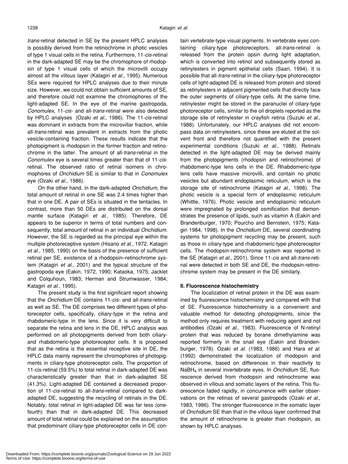*trans*-retinal detected in SE by the present HPLC analyses is possibly derived from the retinochrome in photic vesicles of type 1 visual cells in the retina. Furthermore, 11-*cis*-retinal in the dark-adapted SE may be the chromophore of rhodopsin of type 1 visual cells of which the microvilli occupy almost all the villous layer (Katagiri *et al*., 1995). Numerous SEs were required for HPLC analyses due to their minute size. However, we could not obtain sufficient amounts of SE, and therefore could not examine the chromophores of the light-adapted SE. In the eye of the marine gastropoda, *Conomulex*, 11-*cis-* and all-*trans-*retinal were also detected by HPLC analyses (Ozaki *et al*., 1986). The 11-*cis*-retinal was dominant in extracts from the microvillar fraction, while all-*trans*-retinal was prevalent in extracts from the photic vesicle-containing fraction. These results indicate that the photopigment is rhodopsin in the former fraction and retinochrome in the latter. The amount of all-*trans*-retinal in the *Conomulex* eye is several times greater than that of 11-*cis*retinal. The observed ratio of retinal isomers in chromophores of *Onchidium* SE is similar to that in *Conomulex* eye (Ozaki *et al*., 1986).

On the other hand, in the dark-adapted *Onchidium*, the total amount of retinal in one SE was 2.4 times higher than that in one DE. A pair of SEs is situated in the tentacles. In contrast, more than 50 DEs are distributed on the dorsal mantle surface (Katagiri *et al*., 1985). Therefore, DE appears to be superior in terms of total numbers and consequently, total amount of retinal in an individual *Onchidium*. However, the SE is regarded as the principal eye within the multiple photoreceptive system (Hisano *et al*., 1972, Katagiri *et al*., 1985, 1990) on the basis of the presence of sufficient retinal per SE, existence of a rhodopsin–retinochrome system (Katagiri *et al.*, 2001) and the typical structure of the gastropoda eye (Eakin, 1972, 1990; Kataoka, 1975; Jacklet and Colquhoun, 1983; Herman and Strumwasser, 1984; Katagiri *et al*., 1995).

The present study is the first significant report showing that the *Onchidium* DE contains 11-*cis-* and all-*trans*-retinal as well as SE. The DE comprises two different types of photoreceptor cells, specifically, ciliary-type in the retina and rhabdomeric-type in the lens. Since it is very difficult to separate the retina and lens in the DE, HPLC analysis was performed on all photopigments derived from both ciliaryand rhabdomeric-type photoreceptor cells. It is proposed that as the retina is the essential receptive site in DE, the HPLC data mainly represent the chromophores of photopigments in ciliary-type photoreceptor cells. The proportion of 11-cis-retinal (59.5%) to total retinal in dark-adapted DE was characteristically greater than that in dark-adapted SE (41.3%). Light-adapted DE contained a decreased proportion of 11-*cis*-retinal to all-*trans*-retinal compared to darkadapted DE, suggesting the recycling of retinals in the DE. Notably, total retinal in light-adapted DE was far less (onefourth) than that in dark-adapted DE. This decreased amount of total retinal could be explained on the assumption that predominant ciliary-type photoreceptor cells in DE contain vertebrate-type visual pigments. In vertebrate eyes containing ciliary-type photoreceptors, all-*trans*-retinal is released from the protein opsin during light adaptation, which is converted into retinol and subsequently stored as retinylesters in pigment epithelial cells (Saari, 1994). It is possible that all-*trans*-retinal in the ciliary-type photoreceptor cells of light-adapted DE is released from protein and stored as retinylesters in adjacent pigmented cells that directly face the outer segments of ciliary-type cells. At the same time, retinylester might be stored in the paranuclei of ciliary-type photoreceptor cells, similar to the oil droplets reported as the storage site of retinylester in crayfish retina (Suzuki *et al*., 1988). Unfortunately, our HPLC analyses did not encompass data on retinylesters, since these are eluted at the solvent front and therefore not quantified with the present experimental conditions (Suzuki *et al*., 1988). Retinals detected in the light-adapted DE may be derived mainly from the photopigments (rhodopsin and retinochrome) of rhabdomeric-type lens cells in the DE. Rhabdomeric-type lens cells have massive microvilli, and contain no photic vesicles but abundant endoplasmic reticulum, which is the storage site of retinochrome (Katagiri *et al*., 1998). The photic vesicle is a special form of endoplasmic reticulum (Whittle, 1976). Photic vesicle and endoplasmic reticulum were impregnated by prolonged osmification that demonstrates the presence of lipids, such as vitamin A (Eakin and Brandenburger, 1970; Pourcho and Bernstein, 1975; Katagiri 1984, 1998). In the *Onchidium* DE, several coordinating systems for photopigment recycling may be present, such as those in ciliary-type and rhabdomeric-type photoreceptor cells. The rhodopsin-retinochrome system was reported in the SE (Katagiri *et al*., 2001). Since 11-*cis* and all-*trans*-retinal were detected in both SE and DE, the rhodopsin-retinochrome system may be present in the DE similarly.

# **II. Fluorescence histochemistry**

The localization of retinal protein in the DE was examined by fluorescence histochemistry and compared with that of SE. Fluorescence histochemistry is a convenient and valuable method for detecting photopigments, since the method only requires treatment with reducing agent and not antibodies (Ozaki *et al*., 1983). Fluorescence of N-retinyl protein that was reduced by borane dimethylamine was reported formerly in the snail eye (Eakin and Brandenburger, 1978). Ozaki *et al*. (1983, 1986) and Hara *et al*. (1992) demonstrated the localization of rhodopsin and retinochrome, based on differences in their reactivity to NaBH4 in several invertebrate eyes. In *Onchidium* SE, fluorescence derived from rhodopsin and retinochrome was observed in villous and somatic layers of the retina. This fluorescence faded rapidly, in concurrence with earlier observations on the retinas of several gastropods (Ozaki *et al*., 1983, 1986). The stronger fluorescence in the somatic layer of *Onchidium* SE than that in the villous layer confirmed that the amount of retinochrome is greater than rhodopsin, as shown by HPLC analyses.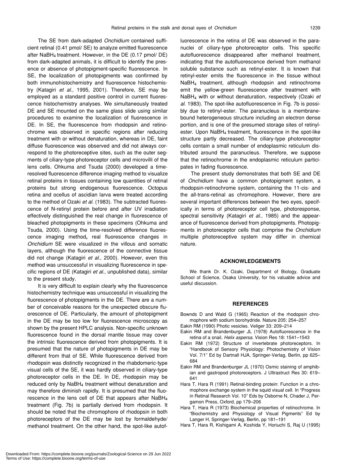The SE from dark-adapted *Onchidium* contained sufficient retinal (0.41 pmol/ SE) to analyze emitted fluorescence after NaBH4 treatment. However, in the DE (0.17 pmol/ DE) from dark-adapted animals, it is difficult to identify the presence or absence of photopigment-specific fluorescence. In SE, the localization of photopigments was confirmed by both immunohistochemistry and fluorescence histochemistry (Katagiri *et al*., 1995, 2001). Therefore, SE may be employed as a standard positive control in current fluorescence histochemistry analyses. We simultaneously treated DE and SE mounted on the same glass slide using similar procedures to examine the localization of fluorescence in DE. In SE, the fluorescence from rhodopsin and retinochrome was observed in specific regions after reducing treatment with or without denaturation, whereas in DE, faint diffuse fluorescence was observed and did not always correspond to the photoreceptive sites, such as the outer segments of ciliary-type photoreceptor cells and microvilli of the lens cells. Ohkuma and Tsuda (2000) developed a timeresolved fluorescence difference imaging method to visualize retinal proteins in tissues containing low quantities of retinal proteins but strong endogenous fluorescence. Octopus retina and ocellus of ascidian larva were treated according to the method of Ozaki *et al*. (1983). The subtracted fluorescence of N-retinyl protein before and after UV irradiation effectively distinguished the real change in fluorescence of bleached photopigments in these specimens (Ohkuma and Tsuda, 2000). Using the time-resolved difference fluorescence imaging method**,** real fluorescence changes in *Onchidium* SE were visualized in the villous and somatic layers, although the fluorescence of the connective tissue did not change (Katagiri *et al*., 2000). However, even this method was unsuccessful in visualizing fluorescence in specific regions of DE (Katagiri *et al*., unpublished data), similar to the present study.

It is very difficult to explain clearly why the fluorescence histochemistry technique was unsuccessful in visualizing the fluorescence of photopigments in the DE. There are a number of conceivable reasons for the unexpected obscure fluorescence of DE. Particularly, the amount of photopigment in the DE may be too low for fluorescence microscopy as shown by the present HPLC analysis. Non-specific unknown fluorescence found in the dorsal mantle tissue may cover the intrinsic fluorescence derived from photopigments. It is presumed that the nature of photopigments in DE may be different from that of SE. While fluorescence derived from rhodopsin was distinctly recognized in the rhabdomeric-type visual cells of the SE, it was hardly observed in ciliary-type photoreceptor cells in the DE. In DE, rhodopsin may be reduced only by NaBH4 treatment without denaturation and may therefore diminish rapidly. It is presumed that the fluorescence in the lens cell of DE that appears after NaBH4 treatment (Fig. 7b) is partially derived from rhodopsin. It should be noted that the chromophore of rhodopsin in both photoreceptors of the DE may be lost by formaldehyde/ methanol treatment. On the other hand, the spot-like autof-

Downloaded From: https://complete.bioone.org/journals/Zoological-Science on 29 Jun 2022 Terms of Use: https://complete.bioone.org/terms-of-use

luorescence in the retina of DE was observed in the paranuclei of ciliary-type photoreceptor cells. This specific autofluorescence disappeared after methanol treatment, indicating that the autofluorescence derived from methanol soluble substance such as retinyl-ester. It is known that retinyl-ester emits the fluorescence in the tissue without NaBH4 treatment, although rhodopsin and retinochrome emit the yellow-green fluorescence after treatment with NaBH4 with or without denaturation, respectively (Ozaki *et al*. 1983). The spot-like autofluorescence in Fig. 7b is possibly due to retinyl-ester. The paranucleus is a membranebound heterogeneous structure including an electron dense portion, and is one of the presumed storage sites of retinylester. Upon NaBH4 treatment, fluorescence in the spot-like structure partly decreased. The ciliary-type photoreceptor cells contain a small number of endoplasmic reticulum distributed around the paranucleus. Therefore, we suppose that the retinochrome in the endoplasmic reticulum participates in fading fluorescence.

The present study demonstrates that both SE and DE of *Onchidium* have a common photopigment system, a rhodopsin-retinochrome system, containing the 11-cis- and the all-trans-retinal as chromophore. However, there are several important differences between the two eyes, specifically in terms of photoreceptor cell type, photoresponse, spectral sensitivity (Katagiri *et al*., 1985) and the appearance of fluorescence derived from photopigments. Photopigments in photoreceptor cells that comprise the *Onchidium* multiple photoreceptive system may differ in chemical nature.

## **ACKNOWLEDGEMENTS**

We thank Dr. K. Ozaki, Department of Biology, Graduate School of Science, Osaka University, for his valuable advice and useful discussion.

# **REFERENCES**

- Bownds D and Wald G (1965) Reaction of the rhodopsin chromophore with sodium borohydride. Nature 205: 254–257
- Eakin RM (1990) Photic vesicles. Veliger 33: 209–214
- Eakin RM and Brandenburger JL (1978) Autofluorescence in the retina of a snail, *Helix aspersa*. Vision Res 18: 1541–1543
- Eakin RM (1972) Structure of invertebrate photoreceptors. In "Handbook of Sensory Physiology: Photochemistry of Vision Vol. 7/1" Ed by Dartnall HJA, Springer-Verlag, Berlin, pp 625– 684
- Eakin RM and Brandenburger JL (1970) Osmic staining of amphibian and gastropod photoreceptors. J Ultrastruct Res 30: 619– 641
- Hara T, Hara R (1991) Retinal-binding protein: Function in a chromophore exchange system in the squid visual cell. In "Progress in Retinal Research Vol. 10" Eds by Osborne N, Chader J, Pergamon Press, Oxford, pp 179–206
- Hara T, Hara R (1973) Biochemical properties of retinochrome. In "Biochemistry and Physiology of Visual Pigments" Ed by Langer H, Springer-Verlag, Berlin, pp 181–191
- Hara T, Hara R, Kishigami A, Koshida Y, Horiuchi S, Raj U (1995)